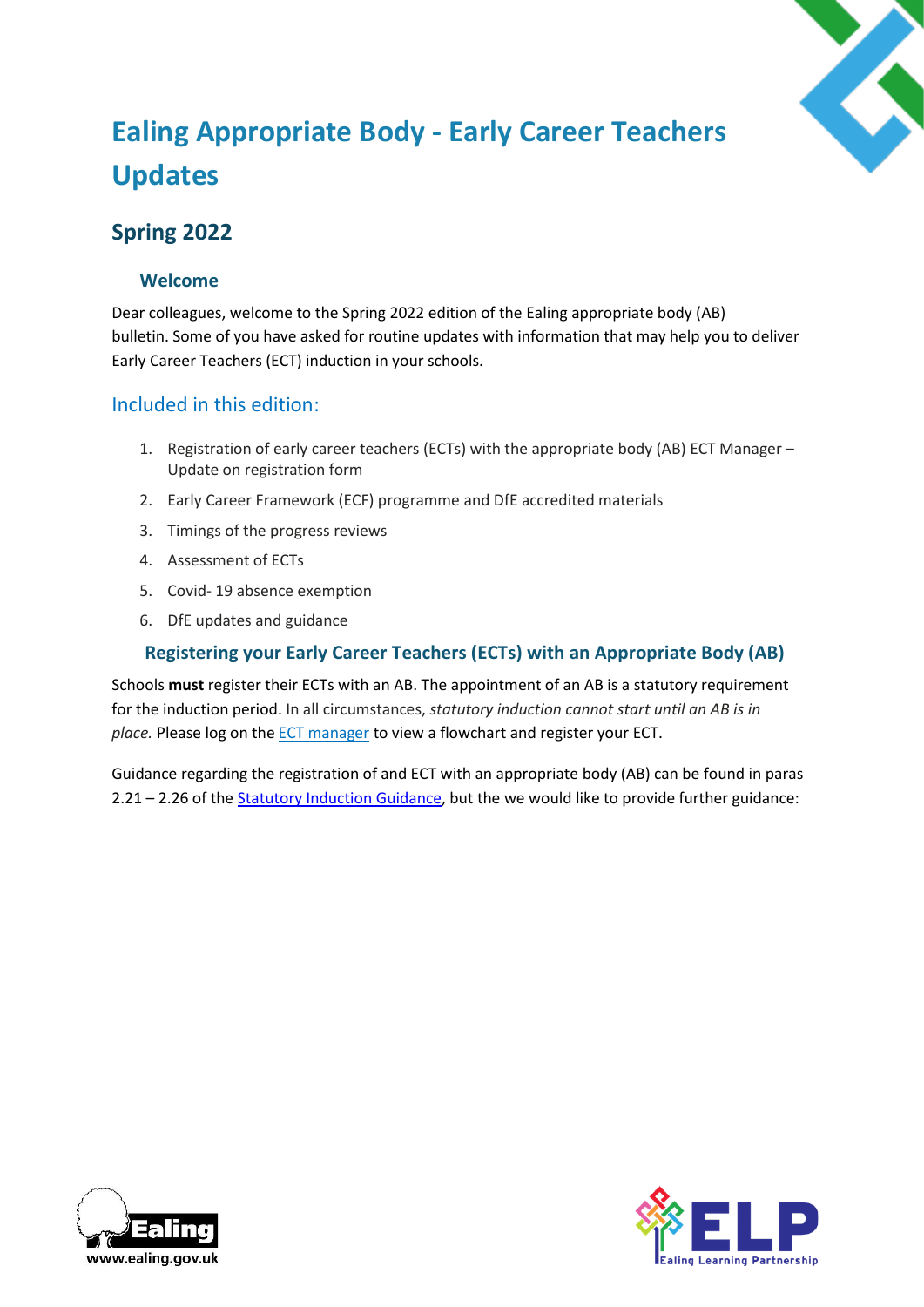

# **Ealing Appropriate Body - Early Career Teachers Updates**

## **Spring 2022**

## **Welcome**

Dear colleagues, welcome to the Spring 2022 edition of the Ealing appropriate body (AB) bulletin. Some of you have asked for routine updates with information that may help you to deliver Early Career Teachers (ECT) induction in your schools.

## Included in this edition:

- 1. Registration of early career teachers (ECTs) with the appropriate body (AB) ECT Manager Update on registration form
- 2. Early Career Framework (ECF) programme and DfE accredited materials
- 3. Timings of the progress reviews
- 4. Assessment of ECTs
- 5. Covid- 19 absence exemption
- 6. DfE updates and guidance

## **Registering your Early Career Teachers (ECTs) with an Appropriate Body (AB)**

Schools **must** register their ECTs with an AB. The appointment of an AB is a statutory requirement for the induction period. In all circumstances, *statutory induction cannot start until an AB is in place.*Please log on the [ECT manager](https://ealing.ectmanager.com/Login.aspx) to view a flowchart and register your ECT.

Guidance regarding the registration of and ECT with an appropriate body (AB) can be found in paras 2.21 – 2.26 of the [Statutory Induction Guidance,](https://assets.publishing.service.gov.uk/government/uploads/system/uploads/attachment_data/file/972316/Statutory_Induction_Guidance_2021_final__002_____1___1_.pdf) but the we would like to provide further guidance:



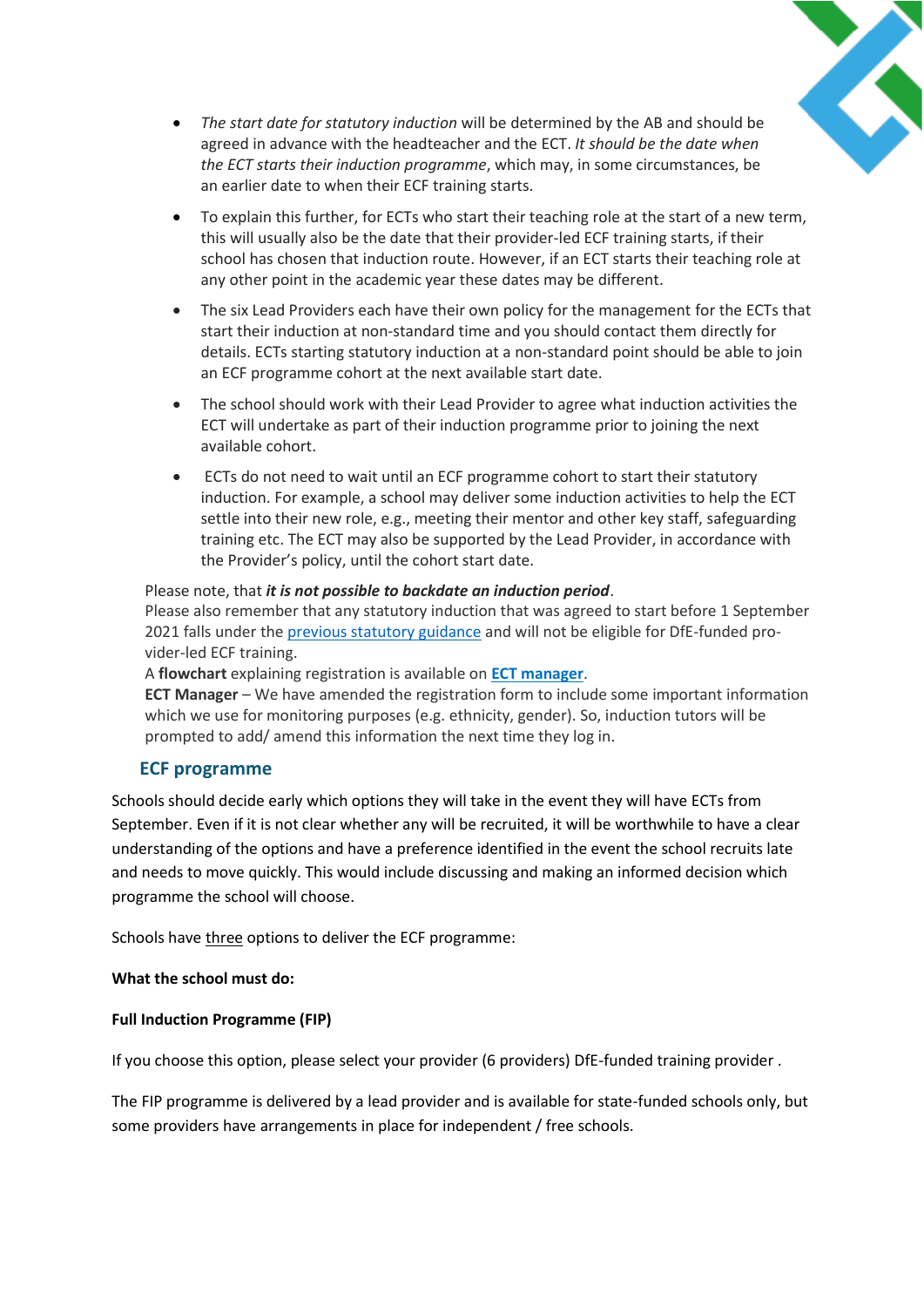

- *The start date for statutory induction* will be determined by the AB and should be agreed in advance with the headteacher and the ECT.*It should be the date when the ECT starts their induction programme*, which may, in some circumstances, be an earlier date to when their ECF training starts.
- To explain this further, for ECTs who start their teaching role at the start of a new term, this will usually also be the date that their provider-led ECF training starts, if their school has chosen that induction route. However, if an ECT starts their teaching role at any other point in the academic year these dates may be different.
- The six Lead Providers each have their own policy for the management for the ECTs that start their induction at non-standard time and you should contact them directly for details. ECTs starting statutory induction at a non-standard point should be able to join an ECF programme cohort at the next available start date.
- The school should work with their Lead Provider to agree what induction activities the ECT will undertake as part of their induction programme prior to joining the next available cohort.
- ECTs do not need to wait until an ECF programme cohort to start their statutory induction. For example, a school may deliver some induction activities to help the ECT settle into their new role, e.g., meeting their mentor and other key staff, safeguarding training etc. The ECT may also be supported by the Lead Provider, in accordance with the Provider's policy, until the cohort start date.

#### Please note, that *it is not possible to backdate an induction period*.

Please also remember that any statutory induction that was agreed to start before 1 September 2021 falls under the [previous statutory guidance](https://www.gov.uk/government/publications/induction-for-newly-qualified-teachers-nqts) and will not be eligible for DfE-funded provider-led ECF training.

A **flowchart** explaining registration is available on **[ECT manager](https://ealing.ectmanager.com/Login.aspx)**.

**ECT Manager** – We have amended the registration form to include some important information which we use for monitoring purposes (e.g. ethnicity, gender). So, induction tutors will be prompted to add/ amend this information the next time they log in.

## **ECF programme**

Schools should decide early which options they will take in the event they will have ECTs from September. Even if it is not clear whether any will be recruited, it will be worthwhile to have a clear understanding of the options and have a preference identified in the event the school recruits late and needs to move quickly. This would include discussing and making an informed decision which programme the school will choose.

Schools have three options to deliver the ECF programme:

#### **What the school must do:**

#### **Full Induction Programme (FIP)**

If you choose this option, please select your provider (6 providers) DfE-funded training provider .

The FIP programme is delivered by a lead provider and is available for state-funded schools only, but some providers have arrangements in place for independent / free schools.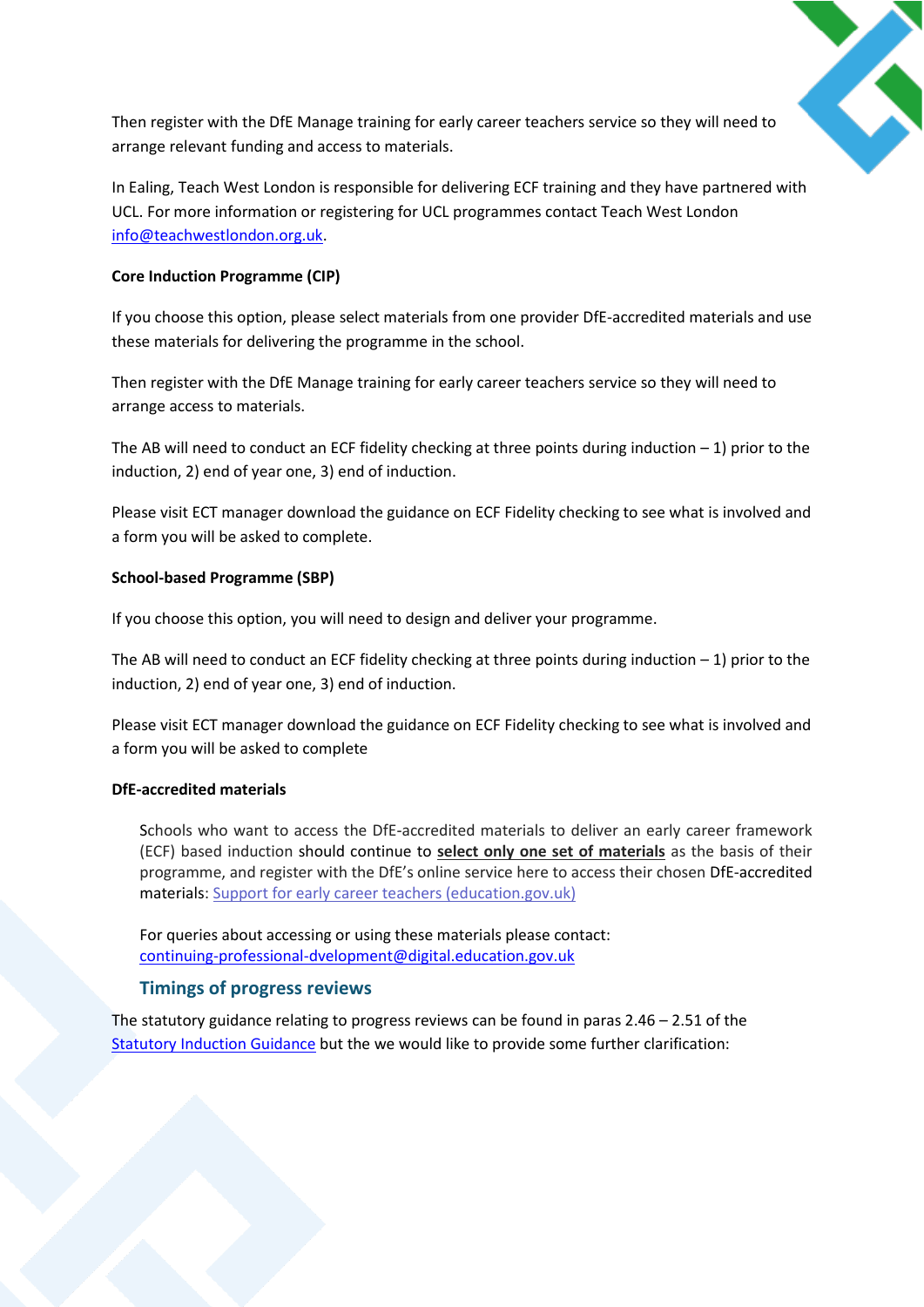

Then register with the DfE Manage training for early career teachers service so they will need to arrange relevant funding and access to materials.

In Ealing, Teach West London is responsible for delivering ECF training and they have partnered with UCL. For more information or registering for UCL programmes contact Teach West London [info@teachwestlondon.org.uk.](mailto:info@teachwestlondon.org.uk)

#### **Core Induction Programme (CIP)**

If you choose this option, please select materials from one provider DfE-accredited materials and use these materials for delivering the programme in the school.

Then register with the DfE Manage training for early career teachers service so they will need to arrange access to materials.

The AB will need to conduct an ECF fidelity checking at three points during induction  $-1$ ) prior to the induction, 2) end of year one, 3) end of induction.

Please visit ECT manager download the guidance on ECF Fidelity checking to see what is involved and a form you will be asked to complete.

#### **School-based Programme (SBP)**

If you choose this option, you will need to design and deliver your programme.

The AB will need to conduct an ECF fidelity checking at three points during induction  $-1$ ) prior to the induction, 2) end of year one, 3) end of induction.

Please visit ECT manager download the guidance on ECF Fidelity checking to see what is involved and a form you will be asked to complete

#### **DfE-accredited materials**

Schools who want to access the DfE-accredited materials to deliver an early career framework (ECF) based induction should continue to **select only one set of materials** as the basis of their programme, and register with the DfE's online service here to access their chosen DfE-accredited materials: [Support for early career teachers \(education.gov.uk\)](https://protect-eu.mimecast.com/s/KsYxCRg2kHoJpJlUPZ8gd?domain=support-for-early-career-teachers.education.gov.uk/)

For queries about accessing or using these materials please contact: [continuing-professional-dvelopment@digital.education.gov.uk](mailto:continuing-professional-dvelopment@digital.education.gov.uk)

## **Timings of progress reviews**

The statutory guidance relating to progress reviews can be found in paras  $2.46 - 2.51$  of the [Statutory Induction Guidance](https://assets.publishing.service.gov.uk/government/uploads/system/uploads/attachment_data/file/972316/Statutory_Induction_Guidance_2021_final__002_____1___1_.pdf) but the we would like to provide some further clarification: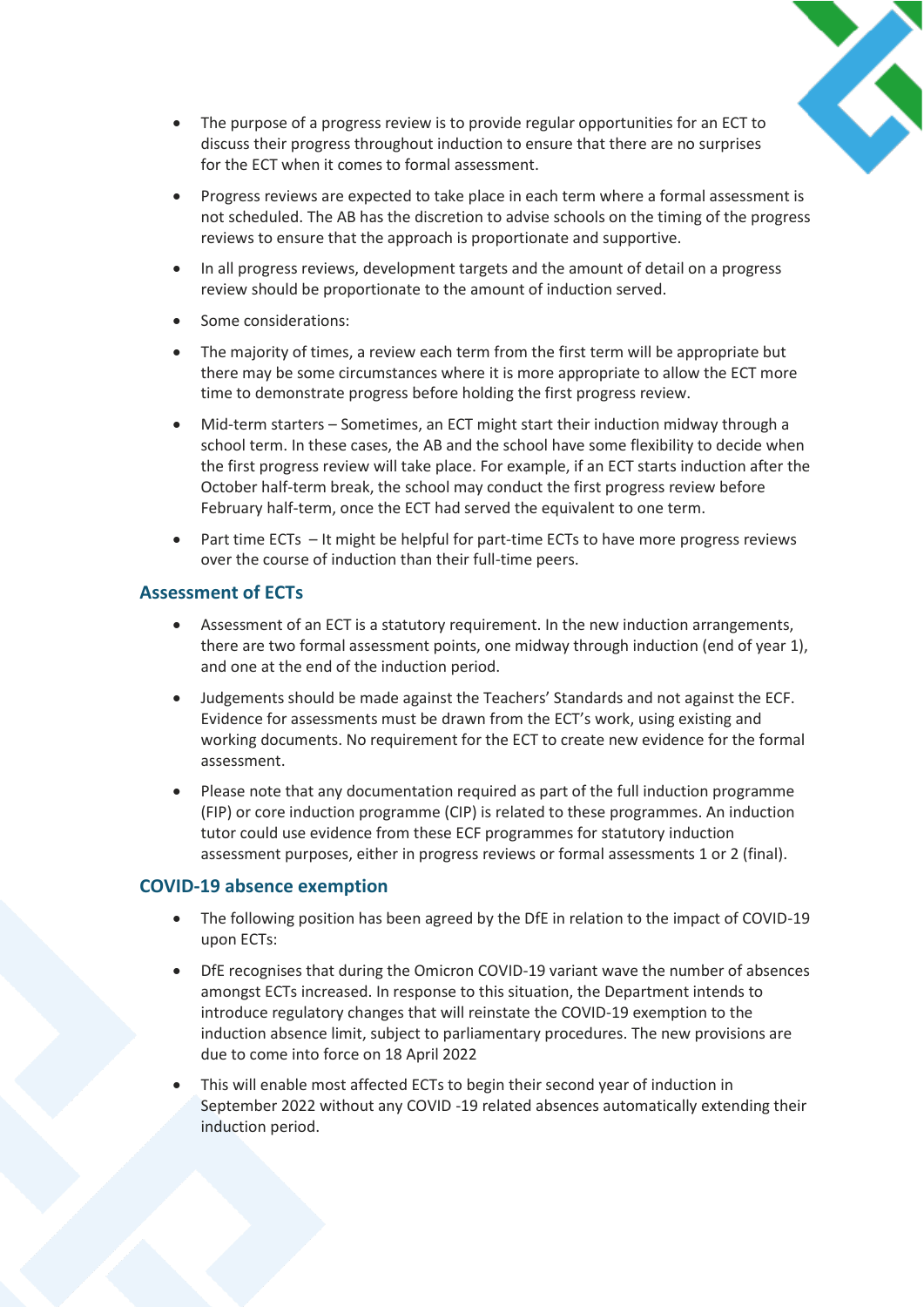

- The purpose of a progress review is to provide regular opportunities for an ECT to discuss their progress throughout induction to ensure that there are no surprises for the ECT when it comes to formal assessment.
- Progress reviews are expected to take place in each term where a formal assessment is not scheduled. The AB has the discretion to advise schools on the timing of the progress reviews to ensure that the approach is proportionate and supportive.
- In all progress reviews, development targets and the amount of detail on a progress review should be proportionate to the amount of induction served.
- Some considerations:
- The majority of times, a review each term from the first term will be appropriate but there may be some circumstances where it is more appropriate to allow the ECT more time to demonstrate progress before holding the first progress review.
- Mid-term starters Sometimes, an ECT might start their induction midway through a school term. In these cases, the AB and the school have some flexibility to decide when the first progress review will take place. For example, if an ECT starts induction after the October half-term break, the school may conduct the first progress review before February half-term, once the ECT had served the equivalent to one term.
- Part time ECTs It might be helpful for part-time ECTs to have more progress reviews over the course of induction than their full-time peers.

#### **Assessment of ECTs**

- Assessment of an ECT is a statutory requirement. In the new induction arrangements, there are two formal assessment points, one midway through induction (end of year 1), and one at the end of the induction period.
- Judgements should be made against the Teachers' Standards and not against the ECF. Evidence for assessments must be drawn from the ECT's work, using existing and working documents. No requirement for the ECT to create new evidence for the formal assessment.
- Please note that any documentation required as part of the full induction programme (FIP) or core induction programme (CIP) is related to these programmes. An induction tutor could use evidence from these ECF programmes for statutory induction assessment purposes, either in progress reviews or formal assessments 1 or 2 (final).

#### **COVID-19 absence exemption**

- The following position has been agreed by the DfE in relation to the impact of COVID-19 upon ECTs:
- DfE recognises that during the Omicron COVID-19 variant wave the number of absences amongst ECTs increased. In response to this situation, the Department intends to introduce regulatory changes that will reinstate the COVID-19 exemption to the induction absence limit, subject to parliamentary procedures. The new provisions are due to come into force on 18 April 2022
- This will enable most affected ECTs to begin their second year of induction in September 2022 without any COVID -19 related absences automatically extending their induction period.